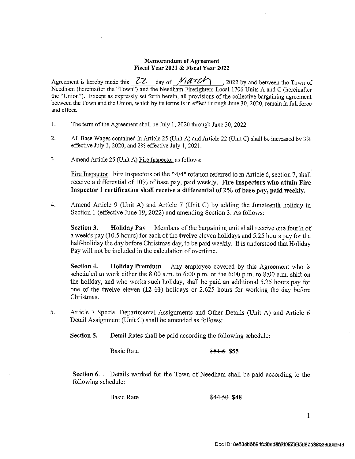#### **Memorandum of Agreement** Fiscal Year 2021 & Fiscal Year 2022

Agreement is hereby made this  $\frac{2Z}{\sqrt{2}}$  day of  $\frac{MAT}{M}$ , 2022 by and between the Town of Needham (hereinafter the "Town") and the Needham Firefighters Local 1706 Units A and C (hereinafter the "Union"). Except as expressly set forth herein, all provisions of the collective bargaining agreement between the Town and the Union, which by its terms is in effect through June 30, 2020, remain in full force and effect.

- $1.$ The term of the Agreement shall be July 1, 2020 through June 30, 2022.
- $2.$ All Base Wages contained in Article 25 (Unit A) and Article 22 (Unit C) shall be increased by 3% effective July 1, 2020, and 2% effective July 1, 2021.
- 3. Amend Article 25 (Unit A) Fire Inspector as follows:

Fire Inspector Fire Inspectors on the "4/4" rotation referred to in Article 6, section 7, shall receive a differential of 10% of base pay, paid weekly. Fire Inspectors who attain Fire Inspector 1 certification shall receive a differential of 2% of base pay, paid weekly.

 $4.$ Amend Article 9 (Unit A) and Article 7 (Unit C) by adding the Juneteenth holiday in Section 1 (effective June 19, 2022) and amending Section 3. As follows:

Section 3. Holiday Pay Members of the bargaining unit shall receive one fourth of a week's pay (10.5 hours) for each of the twelve eleven holidays and 5.25 hours pay for the half-holiday the day before Christmas day, to be paid weekly. It is understood that Holiday Pay will not be included in the calculation of overtime.

Section 4. **Holiday Premium** Any employee covered by this Agreement who is scheduled to work either the 8:00 a.m. to 6:00 p.m. or the 6:00 p.m. to 8:00 a.m. shift on the holiday, and who works such holiday, shall be paid an additional 5.25 hours pay for one of the twelve eleven  $(12 + 1)$  holidays or 2.625 hours for working the day before Christmas.

 $5.$ Article 7 Special Departmental Assignments and Other Details (Unit A) and Article 6 Detail Assignment (Unit C) shall be amended as follows:

Section 5. Detail Rates shall be paid according the following schedule:

**Basic Rate** 

 $$51.5$  \$55

**Section 6.** Details worked for the Town of Needham shall be paid according to the following schedule:

**Basic Rate** 

\$44.50 \$48

 $\mathbf{1}$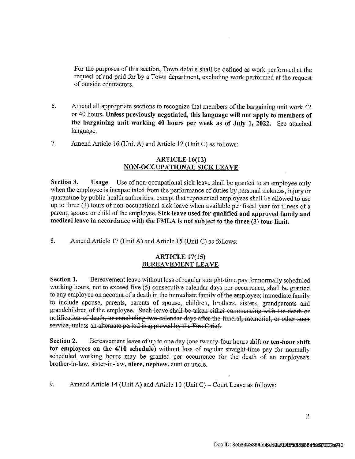For the purposes of this section, Town details shall be defined as work performed at the request of and paid for by a Town department, excluding work performed at the request of outside contractors.

- 6. Amend all appropriate sections to recognize that members of the bargaining unit work 42 or 40 hours. Unless previously negotiated, this language will not apply to members of the bargaining unit working 40 hours per week as of July 1, 2022. See attached language.
- 7. Amend Article 16 (Unit A) and Article 12 (Unit C) as follows:

#### **ARTICLE 16(12) NON-OCCUPATIONAL SICK LEAVE**

Section 3. **Usage** Use of non-occupational sick leave shall be granted to an employee only when the employee is incapacitated from the performance of duties by personal sickness, injury or quarantine by public health authorities, except that represented employees shall be allowed to use up to three (3) tours of non-occupational sick leave when available per fiscal year for illness of a parent, spouse or child of the employee. Sick leave used for qualified and approved family and medical leave in accordance with the FMLA is not subject to the three (3) tour limit.

8. Amend Article 17 (Unit A) and Article 15 (Unit C) as follows:

#### **ARTICLE 17(15) BEREAVEMENT LEAVE**

Bereavement leave without loss of regular straight-time pay for normally scheduled Section 1. working hours, not to exceed five (5) consecutive calendar days per occurrence, shall be granted to any employee on account of a death in the immediate family of the employee; immediate family to include spouse, parents, parents of spouse, children, brothers, sisters, grandparents and grandchildren of the employee. Such leave shall be taken either commencing with the death or notification of death, or concluding two-calendar days after the funeral, memorial, or other such service, unless an alternate period is approved by the Fire Chief.

Section 2. Bereavement leave of up to one day (one twenty-four hours shift or ten-hour shift for employees on the 4/10 schedule) without loss of regular straight-time pay for normally scheduled working hours may be granted per occurrence for the death of an employee's brother-in-law, sister-in-law, niece, nephew, aunt or uncle.

9. Amend Article 14 (Unit A) and Article 10 (Unit C) – Court Leave as follows: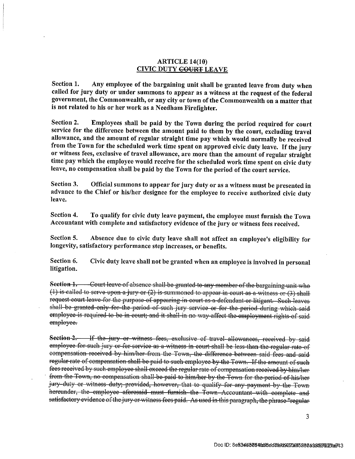#### ARTICLE  $14(10)$ **CIVIC DUTY COURT LEAVE**

Section 1. Any employee of the bargaining unit shall be granted leave from duty when called for jury duty or under summons to appear as a witness at the request of the federal government, the Commonwealth, or any city or town of the Commonwealth on a matter that is not related to his or her work as a Needham Firefighter.

Section 2. Employees shall be paid by the Town during the period required for court service for the difference between the amount paid to them by the court, excluding travel allowance, and the amount of regular straight time pay which would normally be received from the Town for the scheduled work time spent on approved civic duty leave. If the jury or witness fees, exclusive of travel allowance, are more than the amount of regular straight time pay which the employee would receive for the scheduled work time spent on civic duty leave, no compensation shall be paid by the Town for the period of the court service.

Section 3. Official summons to appear for jury duty or as a witness must be presented in advance to the Chief or his/her designee for the employee to receive authorized civic duty leave.

Section 4. To qualify for civic duty leave payment, the employee must furnish the Town Accountant with complete and satisfactory evidence of the jury or witness fees received.

Section 5. Absence due to civic duty leave shall not affect an employee's eligibility for longevity, satisfactory performance step increases, or benefits.

Section 6. Civic duty leave shall not be granted when an employee is involved in personal litigation.

-Court leave-of absence shall be granted to any member of the bargaining unit who Section 1.  $(1)$  is called to serve upon-a-jury or  $(2)$  is summoned to appear in court as a witness or  $(3)$  shall request-court leave-for the purpose-of appearing in court as a defendant or litigant. Such leaves shall-be granted only for the period of such jury service or for the period during which said employee is required to be in court; and it shall in no way affect the employment rights of said employee.

If the jury or witness fees, exclusive of travel allowances, received by said Section 2. employee for such jury or for service as a witness in court shall be less than the regular rate of compensation received by him/her from the Town, the difference between said fees and said regular rate of compensation shall be paid to such employee by the Town. If the amount of such fees received by such employee shall exceed the regular rate of compensation received by him/her from the Town, no compensation shall be paid to him/her by the Town for the period of his/her jury-duty or witness duty; provided, however, that to qualify for any payment by the Town hereunder, the employee aforesaid must furnish the Town Accountant with complete and satisfactory evidence of the jury or witness fees paid. As used in this paragraph, the phrase "regular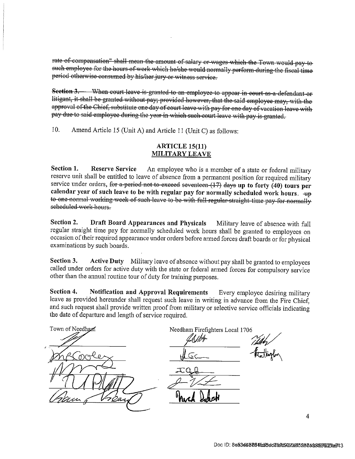rate of compensation" shall mean the amount of salary or wages which the Town would pay to such employee for the hours of work which he/she would normally perform during the fiscal time period otherwise consumed by his/her jury or witness service.

Section 3. When court leave is granted to an employee to appear in court as a defendant or litigant, it shall be granted without pay; provided however, that the said employee may, with the approval of the Chief, substitute one day of court leave with pay for one day of vacation leave with pay due to said employee during the year in which such court leave with pay is granted.

10. Amend Article 15 (Unit A) and Article 11 (Unit C) as follows:

#### $ARTICLE 15(11)$ **MILITARY LEAVE**

Section 1. **Reserve Service** An employee who is a member of a state or federal military reserve unit shall be entitled to leave of absence from a permanent position for required military service under orders, for a period not to exceed seventeen  $(17)$  days up to forty  $(40)$  tours per calendar year of such leave to be with regular pay for normally scheduled work hours. + to one normal working week of such-leave to be with full regular straight time pay for normally scheduled work hours.

Section 2. Draft Board Appearances and Physicals Military leave of absence with full regular straight time pay for normally scheduled work hours shall be granted to employees on occasion of their required appearance under orders before armed forces draft boards or for physical examinations by such boards.

Section 3. Active Duty Military leave of absence without pay shall be granted to employees called under orders for active duty with the state or federal armed forces for compulsory service other than the annual routine tour of duty for training purposes.

Section 4. **Notification and Approval Requirements** Every employee desiring military leave as provided hereunder shall request such leave in writing in advance from the Fire Chief, and such request shall provide written proof from military or selective service officials indicating the date of departure and length of service required.

Town of Needham Needham Firefighters Local 1706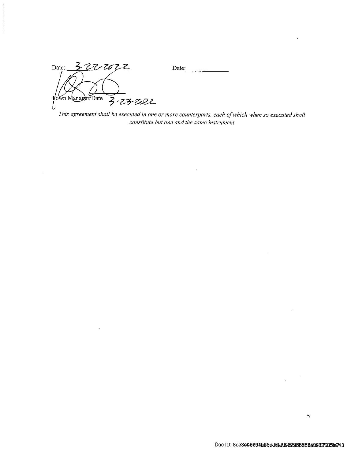3-22-2022 Date: Date: own Manager/Date  $3 - 23 - 2022$ 

 $\ddot{\phantom{1}}$ 

This agreement shall be executed in one or more counterparts, each of which when so executed shall constitute but one and the same instrument

 $\ddot{\phantom{a}}$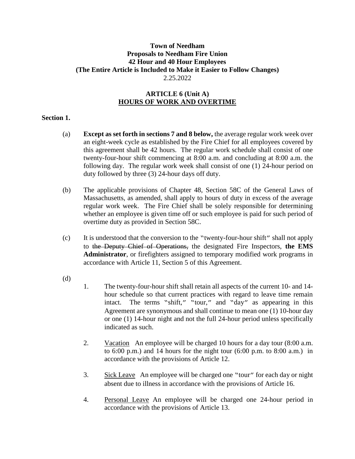#### **Town of Needham Proposals to Needham Fire Union 42 Hour and 40 Hour Employees (The Entire Article is Included to Make it Easier to Follow Changes)** 2.25.2022

## **ARTICLE 6 (Unit A) HOURS OF WORK AND OVERTIME**

#### **Section 1.**

- (a) **Except as set forth in sections 7 and 8 below,** the average regular work week over an eight-week cycle as established by the Fire Chief for all employees covered by this agreement shall be 42 hours. The regular work schedule shall consist of one twenty-four-hour shift commencing at 8:00 a.m. and concluding at 8:00 a.m. the following day. The regular work week shall consist of one (1) 24-hour period on duty followed by three (3) 24-hour days off duty.
- (b) The applicable provisions of Chapter 48, Section 58C of the General Laws of Massachusetts, as amended, shall apply to hours of duty in excess of the average regular work week. The Fire Chief shall be solely responsible for determining whether an employee is given time off or such employee is paid for such period of overtime duty as provided in Section 58C.
- (c) It is understood that the conversion to the "twenty-four-hour shift" shall not apply to the Deputy Chief of Operations, the designated Fire Inspectors, **the EMS Administrator**, or firefighters assigned to temporary modified work programs in accordance with Article 11, Section 5 of this Agreement.
- (d)
- 1. The twenty-four-hour shift shall retain all aspects of the current 10- and 14 hour schedule so that current practices with regard to leave time remain intact. The terms "shift," "tour," and "day" as appearing in this Agreement are synonymous and shall continue to mean one (1) 10-hour day or one (1) 14-hour night and not the full 24-hour period unless specifically indicated as such.
- 2. Vacation An employee will be charged 10 hours for a day tour (8:00 a.m. to 6:00 p.m.) and 14 hours for the night tour  $(6:00 \text{ p.m. to } 8:00 \text{ a.m.})$  in accordance with the provisions of Article 12.
- 3. Sick Leave An employee will be charged one "tour" for each day or night absent due to illness in accordance with the provisions of Article 16.
- 4. Personal Leave An employee will be charged one 24-hour period in accordance with the provisions of Article 13.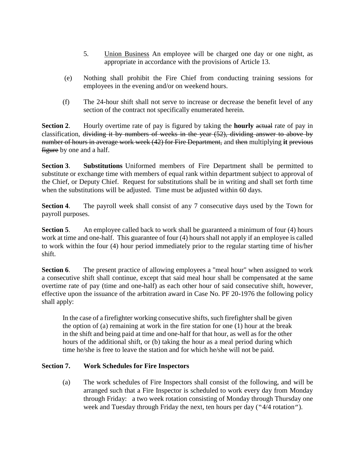- 5. Union Business An employee will be charged one day or one night, as appropriate in accordance with the provisions of Article 13.
- (e) Nothing shall prohibit the Fire Chief from conducting training sessions for employees in the evening and/or on weekend hours.
- (f) The 24-hour shift shall not serve to increase or decrease the benefit level of any section of the contract not specifically enumerated herein.

**Section 2.** Hourly overtime rate of pay is figured by taking the **hourly** actual rate of pay in classification, dividing it by numbers of weeks in the year (52), dividing answer to above by number of hours in average work week (42) for Fire Department, and then multiplying **it** previous figure by one and a half.

**Section 3**. **Substitutions** Uniformed members of Fire Department shall be permitted to substitute or exchange time with members of equal rank within department subject to approval of the Chief, or Deputy Chief. Request for substitutions shall be in writing and shall set forth time when the substitutions will be adjusted. Time must be adjusted within 60 days.

**Section 4**. The payroll week shall consist of any 7 consecutive days used by the Town for payroll purposes.

**Section 5.** An employee called back to work shall be guaranteed a minimum of four (4) hours work at time and one-half. This guarantee of four (4) hours shall not apply if an employee is called to work within the four (4) hour period immediately prior to the regular starting time of his/her shift.

**Section 6.** The present practice of allowing employees a "meal hour" when assigned to work a consecutive shift shall continue, except that said meal hour shall be compensated at the same overtime rate of pay (time and one-half) as each other hour of said consecutive shift, however, effective upon the issuance of the arbitration award in Case No. PF 20-1976 the following policy shall apply:

In the case of a firefighter working consecutive shifts, such firefighter shall be given the option of (a) remaining at work in the fire station for one (1) hour at the break in the shift and being paid at time and one-half for that hour, as well as for the other hours of the additional shift, or (b) taking the hour as a meal period during which time he/she is free to leave the station and for which he/she will not be paid.

## **Section 7. Work Schedules for Fire Inspectors**

(a) The work schedules of Fire Inspectors shall consist of the following, and will be arranged such that a Fire Inspector is scheduled to work every day from Monday through Friday: a two week rotation consisting of Monday through Thursday one week and Tuesday through Friday the next, ten hours per day ("4/4 rotation").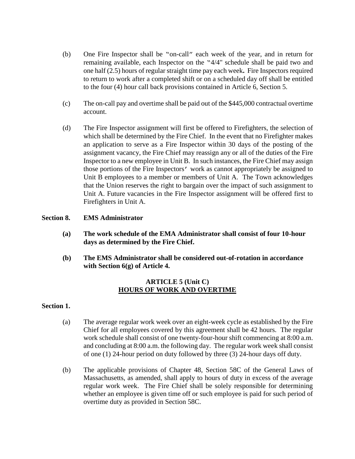- (b) One Fire Inspector shall be "on-call" each week of the year, and in return for remaining available, each Inspector on the "4/4" schedule shall be paid two and one half (2.5) hours of regular straight time pay each week**.** Fire Inspectors required to return to work after a completed shift or on a scheduled day off shall be entitled to the four (4) hour call back provisions contained in Article 6, Section 5.
- (c) The on-call pay and overtime shall be paid out of the \$445,000 contractual overtime account.
- (d) The Fire Inspector assignment will first be offered to Firefighters, the selection of which shall be determined by the Fire Chief. In the event that no Firefighter makes an application to serve as a Fire Inspector within 30 days of the posting of the assignment vacancy, the Fire Chief may reassign any or all of the duties of the Fire Inspector to a new employee in Unit B. In such instances, the Fire Chief may assign those portions of the Fire Inspectors' work as cannot appropriately be assigned to Unit B employees to a member or members of Unit A. The Town acknowledges that the Union reserves the right to bargain over the impact of such assignment to Unit A. Future vacancies in the Fire Inspector assignment will be offered first to Firefighters in Unit A.

#### **Section 8. EMS Administrator**

- **(a) The work schedule of the EMA Administrator shall consist of four 10-hour days as determined by the Fire Chief.**
- **(b) The EMS Administrator shall be considered out-of-rotation in accordance with Section 6(g) of Article 4.**

#### **ARTICLE 5 (Unit C) HOURS OF WORK AND OVERTIME**

#### **Section 1.**

- (a) The average regular work week over an eight-week cycle as established by the Fire Chief for all employees covered by this agreement shall be 42 hours. The regular work schedule shall consist of one twenty-four-hour shift commencing at 8:00 a.m. and concluding at 8:00 a.m. the following day. The regular work week shall consist of one (1) 24-hour period on duty followed by three (3) 24-hour days off duty.
- (b) The applicable provisions of Chapter 48, Section 58C of the General Laws of Massachusetts, as amended, shall apply to hours of duty in excess of the average regular work week. The Fire Chief shall be solely responsible for determining whether an employee is given time off or such employee is paid for such period of overtime duty as provided in Section 58C.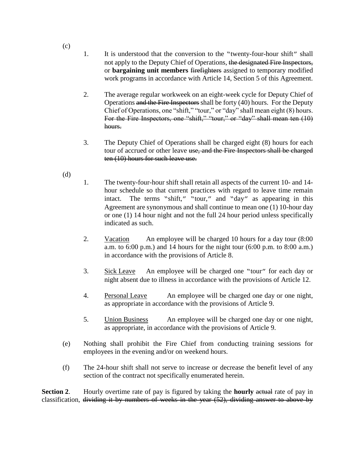- 1. It is understood that the conversion to the "twenty-four-hour shift" shall not apply to the Deputy Chief of Operations, the designated Fire Inspectors, or **bargaining unit members** firefighters assigned to temporary modified work programs in accordance with Article 14, Section 5 of this Agreement.
- 2. The average regular workweek on an eight-week cycle for Deputy Chief of Operations and the Fire Inspectors shall be forty (40) hours. For the Deputy Chief of Operations, one "shift," "tour," or "day" shall mean eight (8) hours. For the Fire Inspectors, one "shift," "tour," or "day" shall mean ten (10) hours.
- 3. The Deputy Chief of Operations shall be charged eight (8) hours for each tour of accrued or other leave use, and the Fire Inspectors shall be charged ten (10) hours for such leave use.
- (d)
- 1. The twenty-four-hour shift shall retain all aspects of the current 10- and 14 hour schedule so that current practices with regard to leave time remain intact. The terms "shift," "tour," and "day" as appearing in this Agreement are synonymous and shall continue to mean one (1) 10-hour day or one (1) 14 hour night and not the full 24 hour period unless specifically indicated as such.
- 2. Vacation An employee will be charged 10 hours for a day tour (8:00 a.m. to 6:00 p.m.) and 14 hours for the night tour (6:00 p.m. to 8:00 a.m.) in accordance with the provisions of Article 8.
- 3. Sick Leave An employee will be charged one "tour" for each day or night absent due to illness in accordance with the provisions of Article 12.
- 4. Personal Leave An employee will be charged one day or one night, as appropriate in accordance with the provisions of Article 9.
- 5. Union Business An employee will be charged one day or one night, as appropriate, in accordance with the provisions of Article 9.
- (e) Nothing shall prohibit the Fire Chief from conducting training sessions for employees in the evening and/or on weekend hours.
- (f) The 24-hour shift shall not serve to increase or decrease the benefit level of any section of the contract not specifically enumerated herein.

**Section 2.** Hourly overtime rate of pay is figured by taking the **hourly** actual rate of pay in classification, dividing it by numbers of weeks in the year (52), dividing answer to above by

(c)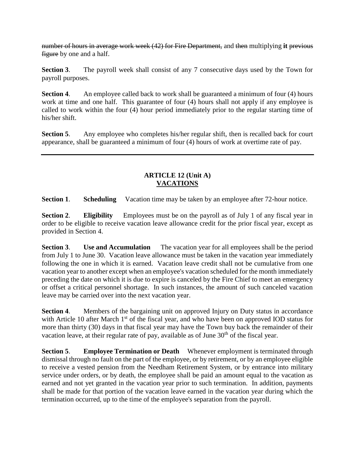number of hours in average work week (42) for Fire Department, and then multiplying **it** previous figure by one and a half.

**Section 3**. The payroll week shall consist of any 7 consecutive days used by the Town for payroll purposes.

**Section 4.** An employee called back to work shall be guaranteed a minimum of four (4) hours work at time and one half. This guarantee of four (4) hours shall not apply if any employee is called to work within the four (4) hour period immediately prior to the regular starting time of his/her shift.

**Section 5.** Any employee who completes his/her regular shift, then is recalled back for court appearance, shall be guaranteed a minimum of four (4) hours of work at overtime rate of pay.

## **ARTICLE 12 (Unit A) VACATIONS**

**Section 1. Scheduling** Vacation time may be taken by an employee after 72-hour notice.

**Section 2**. **Eligibility** Employees must be on the payroll as of July 1 of any fiscal year in order to be eligible to receive vacation leave allowance credit for the prior fiscal year, except as provided in Section 4.

**Section 3**. **Use and Accumulation** The vacation year for all employees shall be the period from July 1 to June 30. Vacation leave allowance must be taken in the vacation year immediately following the one in which it is earned. Vacation leave credit shall not be cumulative from one vacation year to another except when an employee's vacation scheduled for the month immediately preceding the date on which it is due to expire is canceled by the Fire Chief to meet an emergency or offset a critical personnel shortage. In such instances, the amount of such canceled vacation leave may be carried over into the next vacation year.

**Section 4.** Members of the bargaining unit on approved Injury on Duty status in accordance with Article 10 after March  $1<sup>st</sup>$  of the fiscal year, and who have been on approved IOD status for more than thirty (30) days in that fiscal year may have the Town buy back the remainder of their vacation leave, at their regular rate of pay, available as of June  $30<sup>th</sup>$  of the fiscal year.

**Section 5**. **Employee Termination or Death** Whenever employment is terminated through dismissal through no fault on the part of the employee, or by retirement, or by an employee eligible to receive a vested pension from the Needham Retirement System, or by entrance into military service under orders, or by death, the employee shall be paid an amount equal to the vacation as earned and not yet granted in the vacation year prior to such termination. In addition, payments shall be made for that portion of the vacation leave earned in the vacation year during which the termination occurred, up to the time of the employee's separation from the payroll.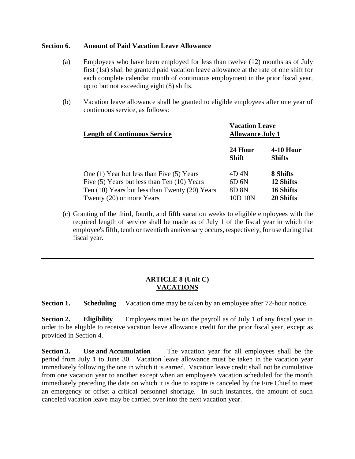#### **Section 6. Amount of Paid Vacation Leave Allowance**

- (a) Employees who have been employed for less than twelve (12) months as of July first (1st) shall be granted paid vacation leave allowance at the rate of one shift for each complete calendar month of continuous employment in the prior fiscal year, up to but not exceeding eight (8) shifts.
- (b) Vacation leave allowance shall be granted to eligible employees after one year of continuous service, as follows:

| <b>Length of Continuous Service</b>             | <b>Vacation Leave</b><br><b>Allowance July 1</b> |                              |  |  |  |
|-------------------------------------------------|--------------------------------------------------|------------------------------|--|--|--|
|                                                 | 24 Hour<br>Shift                                 | $4-10$ Hour<br><b>Shifts</b> |  |  |  |
| One (1) Year but less than Five (5) Years       | 4D 4N                                            | 8 Shifts                     |  |  |  |
| Five $(5)$ Years but less than Ten $(10)$ Years | 6D <sub>6N</sub>                                 | 12 Shifts                    |  |  |  |
| Ten (10) Years but less than Twenty (20) Years  | 8D 8N                                            | 16 Shifts                    |  |  |  |
| Twenty (20) or more Years                       | 10D 10N                                          | 20 Shifts                    |  |  |  |

(c) Granting of the third, fourth, and fifth vacation weeks to eligible employees with the required length of service shall be made as of July 1 of the fiscal year in which the employee's fifth, tenth or twentieth anniversary occurs, respectively, for use during that fiscal year.

#### **ARTICLE 8 (Unit C) VACATIONS**

**Section 1. Scheduling** Vacation time may be taken by an employee after 72-hour notice.

**Section 2. Eligibility** Employees must be on the payroll as of July 1 of any fiscal year in order to be eligible to receive vacation leave allowance credit for the prior fiscal year, except as provided in Section 4.

**Section 3. Use and Accumulation** The vacation year for all employees shall be the period from July 1 to June 30. Vacation leave allowance must be taken in the vacation year immediately following the one in which it is earned. Vacation leave credit shall not be cumulative from one vacation year to another except when an employee's vacation scheduled for the month immediately preceding the date on which it is due to expire is canceled by the Fire Chief to meet an emergency or offset a critical personnel shortage. In such instances, the amount of such canceled vacation leave may be carried over into the next vacation year.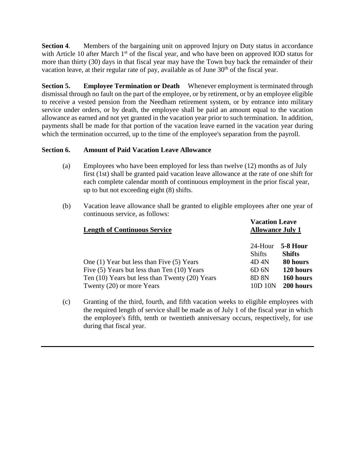**Section 4.** Members of the bargaining unit on approved Injury on Duty status in accordance with Article 10 after March  $1<sup>st</sup>$  of the fiscal year, and who have been on approved IOD status for more than thirty (30) days in that fiscal year may have the Town buy back the remainder of their vacation leave, at their regular rate of pay, available as of June  $30<sup>th</sup>$  of the fiscal year.

**Section 5. Employee Termination or Death** Whenever employment is terminated through dismissal through no fault on the part of the employee, or by retirement, or by an employee eligible to receive a vested pension from the Needham retirement system, or by entrance into military service under orders, or by death, the employee shall be paid an amount equal to the vacation allowance as earned and not yet granted in the vacation year prior to such termination. In addition, payments shall be made for that portion of the vacation leave earned in the vacation year during which the termination occurred, up to the time of the employee's separation from the payroll.

## **Section 6. Amount of Paid Vacation Leave Allowance**

- (a) Employees who have been employed for less than twelve (12) months as of July first (1st) shall be granted paid vacation leave allowance at the rate of one shift for each complete calendar month of continuous employment in the prior fiscal year, up to but not exceeding eight (8) shifts.
- (b) Vacation leave allowance shall be granted to eligible employees after one year of continuous service, as follows:

| <b>Length of Continuous Service</b>                | <b>Vacation Leave</b><br><b>Allowance July 1</b> |               |  |  |  |
|----------------------------------------------------|--------------------------------------------------|---------------|--|--|--|
|                                                    | 24-Hour                                          | 5-8 Hour      |  |  |  |
|                                                    | <b>Shifts</b>                                    | <b>Shifts</b> |  |  |  |
| One (1) Year but less than Five (5) Years          | 4D 4N                                            | 80 hours      |  |  |  |
| Five $(5)$ Years but less than Ten $(10)$ Years    | 6D <sub>6N</sub>                                 | 120 hours     |  |  |  |
| Ten $(10)$ Years but less than Twenty $(20)$ Years | 8D 8N                                            | 160 hours     |  |  |  |
| Twenty (20) or more Years                          | 10D 10N                                          | 200 hours     |  |  |  |

(c) Granting of the third, fourth, and fifth vacation weeks to eligible employees with the required length of service shall be made as of July 1 of the fiscal year in which the employee's fifth, tenth or twentieth anniversary occurs, respectively, for use during that fiscal year.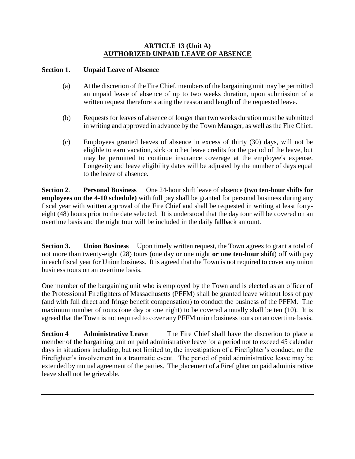#### **ARTICLE 13 (Unit A) AUTHORIZED UNPAID LEAVE OF ABSENCE**

#### **Section 1**. **Unpaid Leave of Absence**

- (a) At the discretion of the Fire Chief, members of the bargaining unit may be permitted an unpaid leave of absence of up to two weeks duration, upon submission of a written request therefore stating the reason and length of the requested leave.
- (b) Requests for leaves of absence of longer than two weeks duration must be submitted in writing and approved in advance by the Town Manager, as well as the Fire Chief.
- (c) Employees granted leaves of absence in excess of thirty (30) days, will not be eligible to earn vacation, sick or other leave credits for the period of the leave, but may be permitted to continue insurance coverage at the employee's expense. Longevity and leave eligibility dates will be adjusted by the number of days equal to the leave of absence.

**Section 2**. **Personal Business** One 24-hour shift leave of absence **(two ten-hour shifts for employees on the 4-10 schedule)** with full pay shall be granted for personal business during any fiscal year with written approval of the Fire Chief and shall be requested in writing at least fortyeight (48) hours prior to the date selected. It is understood that the day tour will be covered on an overtime basis and the night tour will be included in the daily fallback amount.

**Section 3. Union Business** Upon timely written request, the Town agrees to grant a total of not more than twenty-eight (28) tours (one day or one night **or one ten-hour shift**) off with pay in each fiscal year for Union business. It is agreed that the Town is not required to cover any union business tours on an overtime basis.

One member of the bargaining unit who is employed by the Town and is elected as an officer of the Professional Firefighters of Massachusetts (PFFM) shall be granted leave without loss of pay (and with full direct and fringe benefit compensation) to conduct the business of the PFFM. The maximum number of tours (one day or one night) to be covered annually shall be ten (10). It is agreed that the Town is not required to cover any PFFM union business tours on an overtime basis.

**Section 4 Administrative Leave** The Fire Chief shall have the discretion to place a member of the bargaining unit on paid administrative leave for a period not to exceed 45 calendar days in situations including, but not limited to, the investigation of a Firefighter's conduct, or the Firefighter's involvement in a traumatic event. The period of paid administrative leave may be extended by mutual agreement of the parties. The placement of a Firefighter on paid administrative leave shall not be grievable.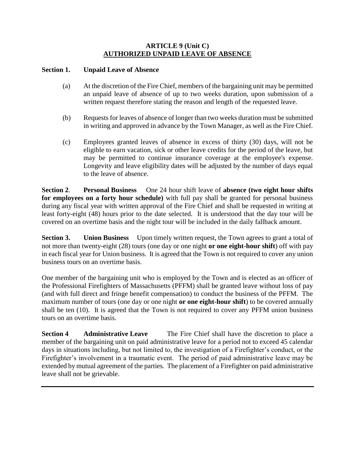#### **ARTICLE 9 (Unit C) AUTHORIZED UNPAID LEAVE OF ABSENCE**

#### **Section 1. Unpaid Leave of Absence**

- (a) At the discretion of the Fire Chief, members of the bargaining unit may be permitted an unpaid leave of absence of up to two weeks duration, upon submission of a written request therefore stating the reason and length of the requested leave.
- (b) Requests for leaves of absence of longer than two weeks duration must be submitted in writing and approved in advance by the Town Manager, as well as the Fire Chief.
- (c) Employees granted leaves of absence in excess of thirty (30) days, will not be eligible to earn vacation, sick or other leave credits for the period of the leave, but may be permitted to continue insurance coverage at the employee's expense. Longevity and leave eligibility dates will be adjusted by the number of days equal to the leave of absence.

**Section 2**. **Personal Business** One 24 hour shift leave of **absence (two eight hour shifts for employees on a forty hour schedule)** with full pay shall be granted for personal business during any fiscal year with written approval of the Fire Chief and shall be requested in writing at least forty-eight (48) hours prior to the date selected. It is understood that the day tour will be covered on an overtime basis and the night tour will be included in the daily fallback amount.

**Section 3. Union Business** Upon timely written request, the Town agrees to grant a total of not more than twenty-eight (28) tours (one day or one night **or one eight-hour shift**) off with pay in each fiscal year for Union business. It is agreed that the Town is not required to cover any union business tours on an overtime basis.

One member of the bargaining unit who is employed by the Town and is elected as an officer of the Professional Firefighters of Massachusetts (PFFM) shall be granted leave without loss of pay (and with full direct and fringe benefit compensation) to conduct the business of the PFFM. The maximum number of tours (one day or one night **or one eight-hour shift**) to be covered annually shall be ten (10). It is agreed that the Town is not required to cover any PFFM union business tours on an overtime basis.

**Section 4 Administrative Leave** The Fire Chief shall have the discretion to place a member of the bargaining unit on paid administrative leave for a period not to exceed 45 calendar days in situations including, but not limited to, the investigation of a Firefighter's conduct, or the Firefighter's involvement in a traumatic event. The period of paid administrative leave may be extended by mutual agreement of the parties. The placement of a Firefighter on paid administrative leave shall not be grievable.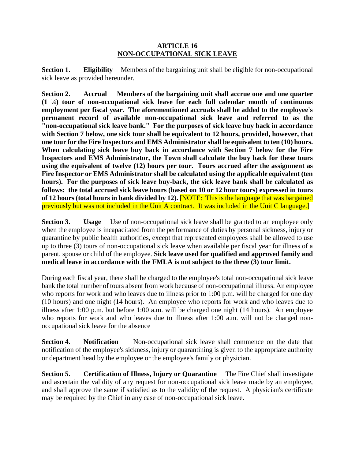#### **ARTICLE 16 NON-OCCUPATIONAL SICK LEAVE**

**Section 1. Eligibility** Members of the bargaining unit shall be eligible for non-occupational sick leave as provided hereunder.

**Section 2. Accrual Members of the bargaining unit shall accrue one and one quarter (1 ¼) tour of non-occupational sick leave for each full calendar month of continuous employment per fiscal year. The aforementioned accruals shall be added to the employee's permanent record of available non-occupational sick leave and referred to as the "non-occupational sick leave bank." For the purposes of sick leave buy back in accordance with Section 7 below, one sick tour shall be equivalent to 12 hours, provided, however, that one tour for the Fire Inspectors and EMS Administrator shall be equivalent to ten (10) hours. When calculating sick leave buy back in accordance with Section 7 below for the Fire Inspectors and EMS Administrator, the Town shall calculate the buy back for these tours using the equivalent of twelve (12) hours per tour. Tours accrued after the assignment as Fire Inspector or EMS Administrator shall be calculated using the applicable equivalent (ten hours). For the purposes of sick leave buy-back, the sick leave bank shall be calculated as follows: the total accrued sick leave hours (based on 10 or 12 hour tours) expressed in tours of 12 hours (total hours in bank divided by 12).** [NOTE: This is the language that was bargained previously but was not included in the Unit A contract. It was included in the Unit C language.]

**Section 3. Usage** Use of non-occupational sick leave shall be granted to an employee only when the employee is incapacitated from the performance of duties by personal sickness, injury or quarantine by public health authorities, except that represented employees shall be allowed to use up to three (3) tours of non-occupational sick leave when available per fiscal year for illness of a parent, spouse or child of the employee. **Sick leave used for qualified and approved family and medical leave in accordance with the FMLA is not subject to the three (3) tour limit.**

During each fiscal year, there shall be charged to the employee's total non-occupational sick leave bank the total number of tours absent from work because of non-occupational illness. An employee who reports for work and who leaves due to illness prior to 1:00 p.m. will be charged for one day (10 hours) and one night (14 hours). An employee who reports for work and who leaves due to illness after 1:00 p.m. but before 1:00 a.m. will be charged one night (14 hours). An employee who reports for work and who leaves due to illness after 1:00 a.m. will not be charged nonoccupational sick leave for the absence

**Section 4. Notification** Non-occupational sick leave shall commence on the date that notification of the employee's sickness, injury or quarantining is given to the appropriate authority or department head by the employee or the employee's family or physician.

**Section 5. Certification of Illness, Injury or Quarantine** The Fire Chief shall investigate and ascertain the validity of any request for non-occupational sick leave made by an employee, and shall approve the same if satisfied as to the validity of the request. A physician's certificate may be required by the Chief in any case of non-occupational sick leave.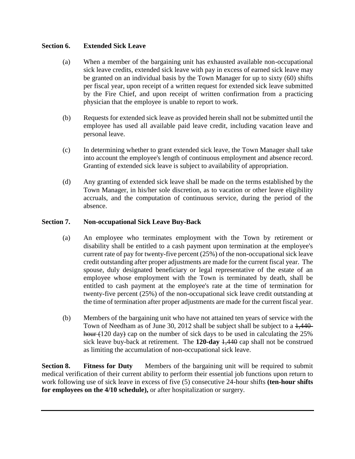#### **Section 6. Extended Sick Leave**

- (a) When a member of the bargaining unit has exhausted available non-occupational sick leave credits, extended sick leave with pay in excess of earned sick leave may be granted on an individual basis by the Town Manager for up to sixty (60) shifts per fiscal year, upon receipt of a written request for extended sick leave submitted by the Fire Chief, and upon receipt of written confirmation from a practicing physician that the employee is unable to report to work.
- (b) Requests for extended sick leave as provided herein shall not be submitted until the employee has used all available paid leave credit, including vacation leave and personal leave.
- (c) In determining whether to grant extended sick leave, the Town Manager shall take into account the employee's length of continuous employment and absence record. Granting of extended sick leave is subject to availability of appropriation.
- (d) Any granting of extended sick leave shall be made on the terms established by the Town Manager, in his/her sole discretion, as to vacation or other leave eligibility accruals, and the computation of continuous service, during the period of the absence.

## **Section 7. Non-occupational Sick Leave Buy-Back**

- (a) An employee who terminates employment with the Town by retirement or disability shall be entitled to a cash payment upon termination at the employee's current rate of pay for twenty-five percent (25%) of the non-occupational sick leave credit outstanding after proper adjustments are made for the current fiscal year. The spouse, duly designated beneficiary or legal representative of the estate of an employee whose employment with the Town is terminated by death, shall be entitled to cash payment at the employee's rate at the time of termination for twenty-five percent (25%) of the non-occupational sick leave credit outstanding at the time of termination after proper adjustments are made for the current fiscal year.
- (b) Members of the bargaining unit who have not attained ten years of service with the Town of Needham as of June 30, 2012 shall be subject shall be subject to a 1,440 hour (120 day) cap on the number of sick days to be used in calculating the 25% sick leave buy-back at retirement. The **120-day** 1,440 cap shall not be construed as limiting the accumulation of non-occupational sick leave.

**Section 8.** Fitness for Duty Members of the bargaining unit will be required to submit medical verification of their current ability to perform their essential job functions upon return to work following use of sick leave in excess of five (5) consecutive 24-hour shifts **(ten-hour shifts for employees on the 4/10 schedule),** or after hospitalization or surgery.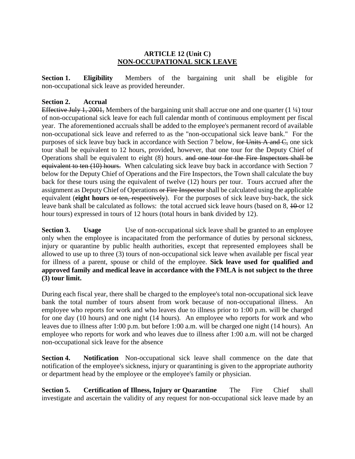### **ARTICLE 12 (Unit C) NON-OCCUPATIONAL SICK LEAVE**

**Section 1. Eligibility** Members of the bargaining unit shall be eligible for non-occupational sick leave as provided hereunder.

## **Section 2. Accrual**

Effective July 1, 2001, Members of the bargaining unit shall accrue one and one quarter (1 1/4) tour of non-occupational sick leave for each full calendar month of continuous employment per fiscal year. The aforementioned accruals shall be added to the employee's permanent record of available non-occupational sick leave and referred to as the "non-occupational sick leave bank." For the purposes of sick leave buy back in accordance with Section 7 below, for Units A and C, one sick tour shall be equivalent to 12 hours, provided, however, that one tour for the Deputy Chief of Operations shall be equivalent to eight (8) hours. and one tour for the Fire Inspectors shall be equivalent to ten (10) hours. When calculating sick leave buy back in accordance with Section 7 below for the Deputy Chief of Operations and the Fire Inspectors, the Town shall calculate the buy back for these tours using the equivalent of twelve (12) hours per tour. Tours accrued after the assignment as Deputy Chief of Operations or Fire Inspector shall be calculated using the applicable equivalent (**eight hours** or ten, respectively). For the purposes of sick leave buy-back, the sick leave bank shall be calculated as follows: the total accrued sick leave hours (based on 8,  $\frac{10}{12}$ hour tours) expressed in tours of 12 hours (total hours in bank divided by 12).

**Section 3. Usage** Use of non-occupational sick leave shall be granted to an employee only when the employee is incapacitated from the performance of duties by personal sickness, injury or quarantine by public health authorities, except that represented employees shall be allowed to use up to three (3) tours of non-occupational sick leave when available per fiscal year for illness of a parent, spouse or child of the employee. **Sick leave used for qualified and approved family and medical leave in accordance with the FMLA is not subject to the three (3) tour limit.**

During each fiscal year, there shall be charged to the employee's total non-occupational sick leave bank the total number of tours absent from work because of non-occupational illness. An employee who reports for work and who leaves due to illness prior to 1:00 p.m. will be charged for one day (10 hours) and one night (14 hours). An employee who reports for work and who leaves due to illness after 1:00 p.m. but before 1:00 a.m. will be charged one night (14 hours). An employee who reports for work and who leaves due to illness after 1:00 a.m. will not be charged non-occupational sick leave for the absence

**Section 4. Notification** Non-occupational sick leave shall commence on the date that notification of the employee's sickness, injury or quarantining is given to the appropriate authority or department head by the employee or the employee's family or physician.

**Section 5. Certification of Illness, Injury or Quarantine** The Fire Chief shall investigate and ascertain the validity of any request for non-occupational sick leave made by an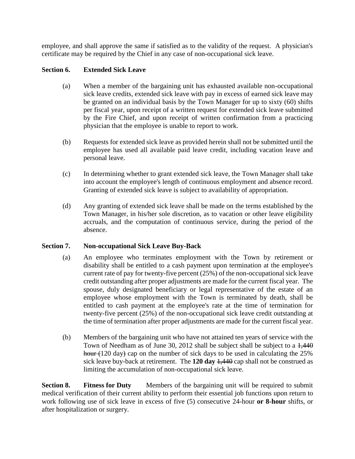employee, and shall approve the same if satisfied as to the validity of the request. A physician's certificate may be required by the Chief in any case of non-occupational sick leave.

#### **Section 6. Extended Sick Leave**

- (a) When a member of the bargaining unit has exhausted available non-occupational sick leave credits, extended sick leave with pay in excess of earned sick leave may be granted on an individual basis by the Town Manager for up to sixty (60) shifts per fiscal year, upon receipt of a written request for extended sick leave submitted by the Fire Chief, and upon receipt of written confirmation from a practicing physician that the employee is unable to report to work.
- (b) Requests for extended sick leave as provided herein shall not be submitted until the employee has used all available paid leave credit, including vacation leave and personal leave.
- (c) In determining whether to grant extended sick leave, the Town Manager shall take into account the employee's length of continuous employment and absence record. Granting of extended sick leave is subject to availability of appropriation.
- (d) Any granting of extended sick leave shall be made on the terms established by the Town Manager, in his/her sole discretion, as to vacation or other leave eligibility accruals, and the computation of continuous service, during the period of the absence.

## **Section 7. Non-occupational Sick Leave Buy-Back**

- (a) An employee who terminates employment with the Town by retirement or disability shall be entitled to a cash payment upon termination at the employee's current rate of pay for twenty-five percent (25%) of the non-occupational sick leave credit outstanding after proper adjustments are made for the current fiscal year. The spouse, duly designated beneficiary or legal representative of the estate of an employee whose employment with the Town is terminated by death, shall be entitled to cash payment at the employee's rate at the time of termination for twenty-five percent (25%) of the non-occupational sick leave credit outstanding at the time of termination after proper adjustments are made for the current fiscal year.
- (b) Members of the bargaining unit who have not attained ten years of service with the Town of Needham as of June 30, 2012 shall be subject shall be subject to a  $1,440$ hour (120 day) cap on the number of sick days to be used in calculating the 25% sick leave buy-back at retirement. The **120 day** 1,440 cap shall not be construed as limiting the accumulation of non-occupational sick leave.

**Section 8. Fitness for Duty** Members of the bargaining unit will be required to submit medical verification of their current ability to perform their essential job functions upon return to work following use of sick leave in excess of five (5) consecutive 24-hour **or 8-hour** shifts, or after hospitalization or surgery.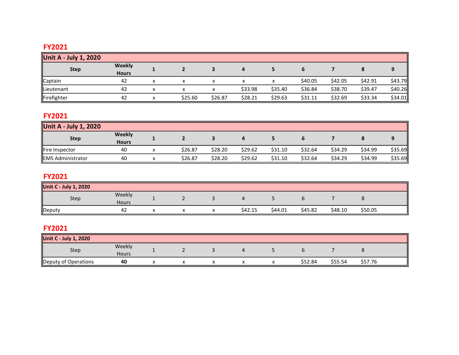# FY2021

| Unit A - July 1, 2020 |                               |         |         |         |         |         |         |         |         |
|-----------------------|-------------------------------|---------|---------|---------|---------|---------|---------|---------|---------|
| <b>Step</b>           | <b>Weekly</b><br><b>Hours</b> |         |         |         |         |         |         |         |         |
| Captain               | 42                            |         |         |         | х       | \$40.05 | \$42.05 | \$42.91 | \$43.79 |
| Lieutenant            | 42                            |         |         | \$33.98 | \$35.40 | \$36.84 | \$38.70 | \$39.47 | \$40.26 |
| Firefighter           | 42                            | \$25.60 | \$26.87 | \$28.21 | \$29.63 | \$31.11 | \$32.69 | \$33.34 | \$34.01 |

## FY2021

| Unit A - July 1, 2020 |                               |         |         |         |         |         |         |         |         |
|-----------------------|-------------------------------|---------|---------|---------|---------|---------|---------|---------|---------|
| <b>Step</b>           | <b>Weekly</b><br><b>Hours</b> |         |         |         |         |         |         |         |         |
| Fire Inspector        | 40                            | \$26.87 | \$28.20 | \$29.62 | \$31.10 | \$32.64 | \$34.29 | \$34.99 | \$35.69 |
| EMS Administrator     | 40                            | \$26.87 | \$28.20 | \$29.62 | \$31.10 | \$32.64 | \$34.29 | \$34.99 | \$35.69 |

## FY2021

| Unit C - July 1, 2020 |                 |  |         |         |         |         |         |  |
|-----------------------|-----------------|--|---------|---------|---------|---------|---------|--|
| Step                  | Weekly<br>Hours |  |         |         |         |         |         |  |
| Deputy                | -42             |  | \$42.15 | \$44.01 | \$45.82 | \$48.10 | \$50.05 |  |

# FY2021

| Unit C - July 1, 2020 |                 |  |  |         |         |         |  |
|-----------------------|-----------------|--|--|---------|---------|---------|--|
| Step                  | Weekly<br>Hours |  |  |         |         |         |  |
| Deputy of Operations  | 40              |  |  | \$52.84 | \$55.54 | \$57.76 |  |